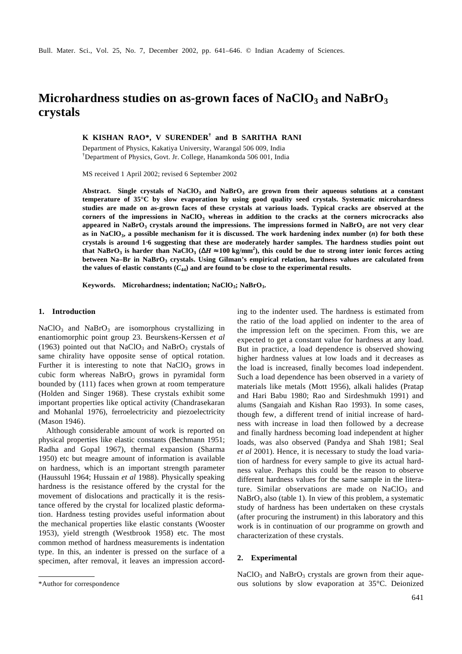# **Microhardness studies on as-grown faces of NaClO3 and NaBrO<sup>3</sup> crystals**

**K KISHAN RAO\*, V SURENDER† and B SARITHA RANI**

Department of Physics, Kakatiya University, Warangal 506 009, India †Department of Physics, Govt. Jr. College, Hanamkonda 506 001, India

MS received 1 April 2002; revised 6 September 2002

**Abstract. Single crystals of NaClO<sup>3</sup> and NaBrO<sup>3</sup> are grown from their aqueous solutions at a constant temperature of 35°C by slow evaporation by using good quality seed crystals. Systematic microhardness studies are made on as-grown faces of these crystals at various loads. Typical cracks are observed at the corners of the impressions in NaClO<sup>3</sup> whereas in addition to the cracks at the corners microcracks also appeared in NaBrO<sup>3</sup> crystals around the impressions. The impressions formed in NaBrO<sup>3</sup> are not very clear as in NaClO<sup>3</sup> , a possible mechanism for it is discussed. The work hardening index number (***n***) for both these crystals is around 1**⋅**6 suggesting that these are moderately harder samples. The hardness studies point out** that NaBrO<sub>3</sub> is harder than NaClO<sub>3</sub> ( $\Delta H \approx 100$  kg/mm<sup>2</sup>), this could be due to strong inter ionic forces acting **between Na–Br in NaBrO<sup>3</sup> crystals. Using Gilman's empirical relation, hardness values are calculated from** the values of elastic constants  $(C_{44})$  and are found to be close to the experimental results.

**Keywords. Microhardness; indentation; NaClO<sup>3</sup> ; NaBrO<sup>3</sup> .**

#### **1. Introduction**

 $NaClO<sub>3</sub>$  and  $NaBrO<sub>3</sub>$  are isomorphous crystallizing in enantiomorphic point group 23. Beurskens-Kerssen *et al* (1963) pointed out that  $NaClO<sub>3</sub>$  and  $NaBrO<sub>3</sub>$  crystals of same chirality have opposite sense of optical rotation. Further it is interesting to note that  $NaClO<sub>3</sub>$  grows in cubic form whereas  $NaBrO<sub>3</sub>$  grows in pyramidal form bounded by (111) faces when grown at room temperature (Holden and Singer 1968). These crystals exhibit some important properties like optical activity (Chandrasekaran and Mohanlal 1976), ferroelectricity and piezoelectricity (Mason 1946).

Although considerable amount of work is reported on physical properties like elastic constants (Bechmann 1951; Radha and Gopal 1967), thermal expansion (Sharma 1950) etc but meagre amount of information is available on hardness, which is an important strength parameter (Haussuhl 1964; Hussain *et al* 1988). Physically speaking hardness is the resistance offered by the crystal for the movement of dislocations and practically it is the resistance offered by the crystal for localized plastic deformation. Hardness testing provides useful information about the mechanical properties like elastic constants (Wooster 1953), yield strength (Westbrook 1958) etc. The most common method of hardness measurements is indentation type. In this, an indenter is pressed on the surface of a specimen, after removal, it leaves an impression according to the indenter used. The hardness is estimated from the ratio of the load applied on indenter to the area of the impression left on the specimen. From this, we are expected to get a constant value for hardness at any load. But in practice, a load dependence is observed showing higher hardness values at low loads and it decreases as the load is increased, finally becomes load independent. Such a load dependence has been observed in a variety of materials like metals (Mott 1956), alkali halides (Pratap and Hari Babu 1980; Rao and Sirdeshmukh 1991) and alums (Sangaiah and Kishan Rao 1993). In some cases, though few, a different trend of initial increase of hardness with increase in load then followed by a decrease and finally hardness becoming load independent at higher loads, was also observed (Pandya and Shah 1981; Seal *et al* 2001). Hence, it is necessary to study the load variation of hardness for every sample to give its actual hardness value. Perhaps this could be the reason to observe different hardness values for the same sample in the literature. Similar observations are made on  $NaClO<sub>3</sub>$  and  $NaBrO<sub>3</sub>$  also (table 1). In view of this problem, a systematic study of hardness has been undertaken on these crystals (after procuring the instrument) in this laboratory and this work is in continuation of our programme on growth and characterization of these crystals.

### **2. Experimental**

 $NaClO<sub>3</sub>$  and  $NaBrO<sub>3</sub>$  crystals are grown from their aque-\*Author for correspondence ous solutions by slow evaporation at 35°C. Deionized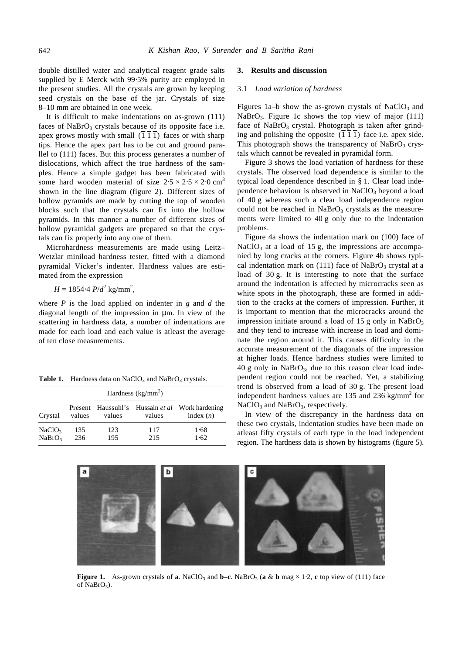double distilled water and analytical reagent grade salts supplied by E Merck with 99⋅5% purity are employed in the present studies. All the crystals are grown by keeping seed crystals on the base of the jar. Crystals of size 8–10 mm are obtained in one week.

It is difficult to make indentations on as-grown (111) faces of  $NaBrO<sub>3</sub>$  crystals because of its opposite face i.e. apex grows mostly with small  $(\overline{1} \ \overline{1} \ \overline{1})$  faces or with sharp tips. Hence the apex part has to be cut and ground parallel to (111) faces. But this process generates a number of dislocations, which affect the true hardness of the samples. Hence a simple gadget has been fabricated with some hard wooden material of size  $2.5 \times 2.5 \times 2.0$  cm<sup>3</sup> shown in the line diagram (figure 2). Different sizes of hollow pyramids are made by cutting the top of wooden blocks such that the crystals can fix into the hollow pyramids. In this manner a number of different sizes of hollow pyramidal gadgets are prepared so that the crystals can fix properly into any one of them.

Microhardness measurements are made using Leitz– Wetzlar miniload hardness tester, fitted with a diamond pyramidal Vicker's indenter. Hardness values are estimated from the expression

$$
H = 1854.4 P/d^2
$$
 kg/mm<sup>2</sup>,

where *P* is the load applied on indenter in *g* and *d* the diagonal length of the impression in μm. In view of the scattering in hardness data, a number of indentations are made for each load and each value is atleast the average of ten close measurements.

|  |  |  | Table 1. Hardness data on NaClO <sub>3</sub> and NaBrO <sub>3</sub> crystals. |  |  |
|--|--|--|-------------------------------------------------------------------------------|--|--|
|--|--|--|-------------------------------------------------------------------------------|--|--|

|                                          |            | Hardness $(kg/mm^2)$ |            |                                                                |
|------------------------------------------|------------|----------------------|------------|----------------------------------------------------------------|
| Crystal                                  | values     | values               | values     | Present Haussuhl's Hussain et al Work hardening<br>index $(n)$ |
| NaClO <sub>3</sub><br>NaBrO <sub>3</sub> | 135<br>236 | 123<br>195           | 117<br>215 | 1.68<br>1.62                                                   |

#### **3. Results and discussion**

#### 3.1 *Load variation of hardness*

Figures 1a–b show the as-grown crystals of NaClO<sub>3</sub> and NaBrO<sub>3</sub>. Figure 1c shows the top view of major  $(111)$ face of  $NaBrO<sub>3</sub>$  crystal. Photograph is taken after grinding and polishing the opposite (1 1 1) face i.e. apex side. This photograph shows the transparency of  $NaBrO<sub>3</sub>$  crystals which cannot be revealed in pyramidal form.

Figure 3 shows the load variation of hardness for these crystals. The observed load dependence is similar to the typical load dependence described in § 1. Clear load independence behaviour is observed in  $NaClO<sub>3</sub>$  beyond a load of 40 g whereas such a clear load independence region could not be reached in  $NaBrO<sub>3</sub>$  crystals as the measurements were limited to 40 g only due to the indentation problems.

Figure 4a shows the indentation mark on (100) face of  $NaClO<sub>3</sub>$  at a load of 15 g, the impressions are accompanied by long cracks at the corners. Figure 4b shows typical indentation mark on  $(111)$  face of NaBrO<sub>3</sub> crystal at a load of 30 g. It is interesting to note that the surface around the indentation is affected by microcracks seen as white spots in the photograph, these are formed in addition to the cracks at the corners of impression. Further, it is important to mention that the microcracks around the impression initiate around a load of 15 g only in  $NaBrO<sub>3</sub>$ and they tend to increase with increase in load and dominate the region around it. This causes difficulty in the accurate measurement of the diagonals of the impression at higher loads. Hence hardness studies were limited to  $40 g$  only in NaBrO<sub>3</sub>, due to this reason clear load independent region could not be reached. Yet, a stabilizing trend is observed from a load of 30 g. The present load independent hardness values are 135 and 236 kg/mm<sup>2</sup> for  $NaClO<sub>3</sub>$  and  $NaBrO<sub>3</sub>$ , respectively.

In view of the discrepancy in the hardness data on these two crystals, indentation studies have been made on atleast fifty crystals of each type in the load independent region. The hardness data is shown by histograms (figure 5).



**Figure 1.** As-grown crystals of **a**. NaClO<sub>3</sub> and **b–c**. NaBrO<sub>3</sub> (**a** & **b** mag × 1⋅2, **c** top view of (111) face of NaBrO<sub>3</sub>).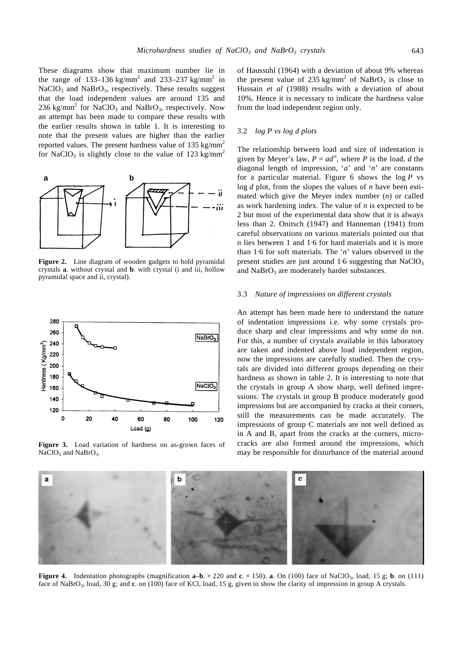These diagrams show that maximum number lie in the range of 133–136 kg/mm<sup>2</sup> and 233–237 kg/mm<sup>2</sup> in  $NaClO<sub>3</sub>$  and  $NaBrO<sub>3</sub>$ , respectively. These results suggest that the load independent values are around 135 and 236 kg/mm<sup>2</sup> for NaClO<sub>3</sub> and NaBrO<sub>3</sub>, respectively. Now an attempt has been made to compare these results with the earlier results shown in table 1. It is interesting to note that the present values are higher than the earlier reported values. The present hardness value of  $135 \text{ kg/mm}^2$ 



for NaClO<sub>3</sub> is slightly close to the value of 123 kg/mm<sup>2</sup>

**Figure 2.** Line diagram of wooden gadgets to hold pyramidal crystals **a**. without crystal and **b**. with crystal (i and iii, hollow pyramidal space and ii, crystal).



**Figure 3.** Load variation of hardness on as-grown faces of  $NaClO<sub>3</sub>$  and  $NaBrO<sub>3</sub>$ .

of Haussuhl (1964) with a deviation of about 9% whereas the present value of 235 kg/mm<sup>2</sup> of NaBrO<sub>3</sub> is close to Hussain *et al* (1988) results with a deviation of about 10%. Hence it is necessary to indicate the hardness value from the load independent region only.

## 3.2 *log P vs log d plots*

The relationship between load and size of indentation is given by Meyer's law,  $P = ad^n$ , where *P* is the load, *d* the diagonal length of impression, '*a*' and '*n*' are constants for a particular material. Figure 6 shows the log *P* vs log *d* plot, from the slopes the values of *n* have been estimated which give the Meyer index number (*n*) or called as work hardening index. The value of *n* is expected to be 2 but most of the experimental data show that it is always less than 2. Onitsch (1947) and Hanneman (1941) from careful observations on various materials pointed out that *n* lies between 1 and 1⋅6 for hard materials and it is more than 1⋅6 for soft materials. The '*n*' values observed in the present studies are just around  $1·6$  suggesting that NaClO<sub>3</sub> and  $NaBrO<sub>3</sub>$  are moderately harder substances.

#### 3.3 *Nature of impressions on different crystals*

An attempt has been made here to understand the nature of indentation impressions i.e. why some crystals produce sharp and clear impressions and why some do not. For this, a number of crystals available in this laboratory are taken and indented above load independent region, now the impressions are carefully studied. Then the crystals are divided into different groups depending on their hardness as shown in table 2. It is interesting to note that the crystals in group A show sharp, well defined impressions. The crystals in group B produce moderately good impressions but are accompanied by cracks at their corners, still the measurements can be made accurately. The impressions of group C materials are not well defined as in A and B, apart from the cracks at the corners, microcracks are also formed around the impressions, which may be responsible for disturbance of the material around



**Figure 4.** Indentation photographs (magnification  $\mathbf{a}-\mathbf{b} \times 220$  and  $\mathbf{c} \times 150$ ). **a**. On (100) face of NaClO<sub>3</sub>, load, 15 g; **b**. on (111) face of NaBrO<sub>3</sub>, load, 30 g; and c. on (100) face of KCl, load, 15 g, given to show the clarity of impression in group A crystals.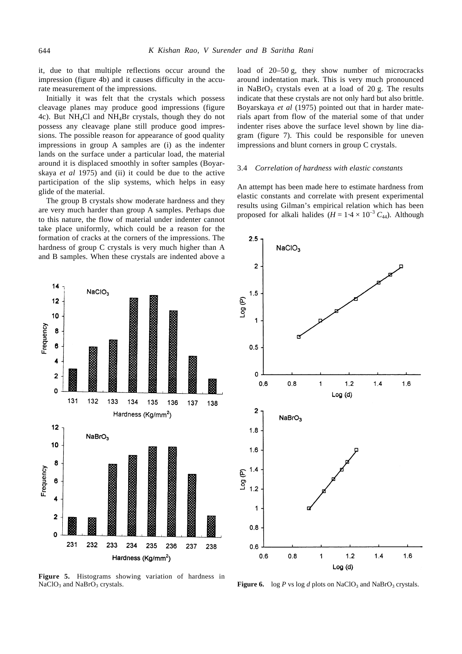it, due to that multiple reflections occur around the impression (figure 4b) and it causes difficulty in the accurate measurement of the impressions.

Initially it was felt that the crystals which possess cleavage planes may produce good impressions (figure 4c). But NH4Cl and NH4Br crystals, though they do not possess any cleavage plane still produce good impressions. The possible reason for appearance of good quality impressions in group A samples are (i) as the indenter lands on the surface under a particular load, the material around it is displaced smoothly in softer samples (Boyarskaya *et al* 1975) and (ii) it could be due to the active participation of the slip systems, which helps in easy glide of the material.

The group B crystals show moderate hardness and they are very much harder than group A samples. Perhaps due to this nature, the flow of material under indenter cannot take place uniformly, which could be a reason for the formation of cracks at the corners of the impressions. The hardness of group C crystals is very much higher than A and B samples. When these crystals are indented above a load of 20–50 g, they show number of microcracks around indentation mark. This is very much pronounced in NaBrO<sub>3</sub> crystals even at a load of 20 g. The results indicate that these crystals are not only hard but also brittle. Boyarskaya *et al* (1975) pointed out that in harder materials apart from flow of the material some of that under indenter rises above the surface level shown by line diagram (figure 7). This could be responsible for uneven impressions and blunt corners in group C crystals.

#### 3.4 *Correlation of hardness with elastic constants*

An attempt has been made here to estimate hardness from elastic constants and correlate with present experimental results using Gilman's empirical relation which has been proposed for alkali halides ( $H = 1.4 \times 10^{-3} C_{44}$ ). Although



**Figure 5.** Histograms showing variation of hardness in  $NaClO<sub>3</sub>$  and  $NaBrO<sub>3</sub>$ 



crystals. **Figure 6.** log *P* vs log *d* plots on NaClO<sub>3</sub> and NaBrO<sub>3</sub> crystals.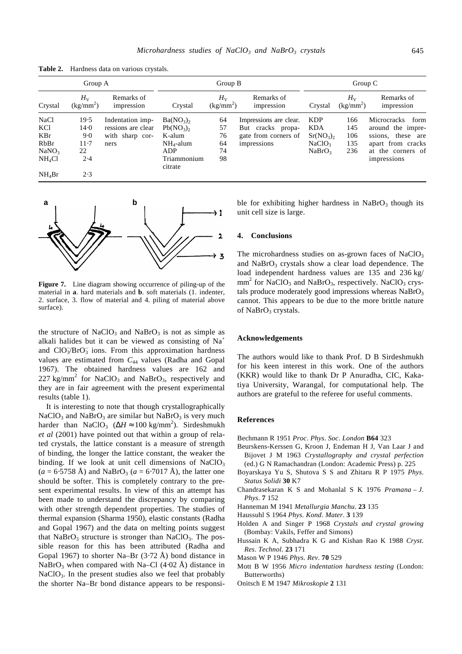**Table 2.** Hardness data on various crystals.

| Group A            |                            | Group B                  |                        |                        | Group C                  |                                   |                        |                          |
|--------------------|----------------------------|--------------------------|------------------------|------------------------|--------------------------|-----------------------------------|------------------------|--------------------------|
| Crystal            | $H_{\rm V}$<br>$(kg/mm^2)$ | Remarks of<br>impression | Crystal                | $H_{V}$<br>$(kg/mm^2)$ | Remarks of<br>impression | Crystal                           | $H_{V}$<br>$(kg/mm^2)$ | Remarks of<br>impression |
| <b>NaCl</b>        | 19.5                       | Indentation imp-         | $Ba(NO_3)$             | 64                     | Impressions are clear.   | <b>KDP</b>                        | 166                    | Microcracks<br>form      |
| KC <sub>1</sub>    | 14.0                       | ressions are clear       | $Pb(NO_3)$             | 57                     | But cracks propa-        | KDA                               | 145                    | around the impre-        |
| <b>KBr</b>         | 9.0                        | with sharp cor-          | K-alum                 | 76                     | gate from corners of     | Sr(NO <sub>3</sub> ) <sub>2</sub> | 106                    | these are<br>ssions,     |
| RbBr               | $11-7$                     | ners                     | $NH_4$ -alum           | 64                     | impressions              | NaClO <sub>3</sub>                | 135                    | apart from cracks        |
| NaNO <sub>3</sub>  | 22                         |                          | ADP                    | 74                     |                          | NaBrO <sub>3</sub>                | 236                    | at the corners of        |
| NH <sub>4</sub> Cl | 2.4                        |                          | Triammonium<br>citrate | 98                     |                          |                                   |                        | impressions              |
| $NH_4Br$           | 2.3                        |                          |                        |                        |                          |                                   |                        |                          |



**Figure 7.** Line diagram showing occurrence of piling-up of the material in **a**. hard materials and **b**. soft materials (1. indenter, 2. surface, 3. flow of material and 4. piling of material above surface).

the structure of NaClO<sub>3</sub> and NaBrO<sub>3</sub> is not as simple as alkali halides but it can be viewed as consisting of  $Na<sup>+</sup>$ and ClO<sub>3</sub>/BrO<sub>3</sub> ions. From this approximation hardness values are estimated from *C*44 values (Radha and Gopal 1967). The obtained hardness values are 162 and  $227 \text{ kg/mm}^2$  for NaClO<sub>3</sub> and NaBrO<sub>3</sub>, respectively and they are in fair agreement with the present experimental results (table 1).

It is interesting to note that though crystallographically  $NaClO<sub>3</sub>$  and NaBrO<sub>3</sub> are similar but NaBrO<sub>3</sub> is very much harder than NaClO<sub>3</sub> ( $\Delta H \approx 100 \text{ kg/mm}^2$ ). Sirdeshmukh *et al* (2001) have pointed out that within a group of related crystals, the lattice constant is a measure of strength of binding, the longer the lattice constant, the weaker the binding. If we look at unit cell dimensions of  $NaClO<sub>3</sub>$  $(a = 6.5758 \text{ Å})$  and NaBrO<sub>3</sub> ( $a = 6.7017 \text{ Å}$ ), the latter one should be softer. This is completely contrary to the present experimental results. In view of this an attempt has been made to understand the discrepancy by comparing with other strength dependent properties. The studies of thermal expansion (Sharma 1950), elastic constants (Radha and Gopal 1967) and the data on melting points suggest that  $NaBrO<sub>3</sub>$  structure is stronger than  $NaClO<sub>3</sub>$ . The possible reason for this has been attributed (Radha and Gopal 1967) to shorter Na–Br  $(3.72 \text{ Å})$  bond distance in NaBrO<sub>3</sub> when compared with Na–Cl (4⋅02 Å) distance in  $NaClO<sub>3</sub>$ . In the present studies also we feel that probably the shorter Na–Br bond distance appears to be responsible for exhibiting higher hardness in  $NaBrO<sub>3</sub>$  though its unit cell size is large.

#### **4. Conclusions**

The microhardness studies on as-grown faces of  $NaClO<sub>3</sub>$ and  $NaBrO<sub>3</sub>$  crystals show a clear load dependence. The load independent hardness values are 135 and 236 kg/  $mm<sup>2</sup>$  for NaClO<sub>3</sub> and NaBrO<sub>3</sub>, respectively. NaClO<sub>3</sub> crystals produce moderately good impressions whereas  $NaBrO<sub>3</sub>$ cannot. This appears to be due to the more brittle nature of NaBrO<sub>3</sub> crystals.

#### **Acknowledgements**

The authors would like to thank Prof. D B Sirdeshmukh for his keen interest in this work. One of the authors (KKR) would like to thank Dr P Anuradha, CIC, Kakatiya University, Warangal, for computational help. The authors are grateful to the referee for useful comments.

#### **References**

- Bechmann R 1951 *Proc*. *Phys*. *Soc*. *London* **B64** 323
- Beurskens-Kerssen G, Kroon J, Endeman H J, Van Laar J and Bijovet J M 1963 *Crystallography and crystal perfection* (ed.) G N Ramachandran (London: Academic Press) p. 225
- Boyarskaya Yu S, Shutova S S and Zhitaru R P 1975 *Phys*. *Status Solidi* **30** K7
- Chandrasekaran K S and Mohanlal S K 1976 *Pramana – J*. *Phys*. **7** 152
- Hanneman M 1941 *Metallurgia Manchu*. **23** 135
- Haussuhl S 1964 *Phys*. *Kond*. *Mater*. **3** 139
- Holden A and Singer P 1968 *Crystals and crystal growing* (Bombay: Vakils, Feffer and Simons)
- Hussain K A, Subhadra K G and Kishan Rao K 1988 *Cryst*. *Res*. *Technol*. **23** 171
- Mason W P 1946 *Phys*. *Rev*. **70** 529
- Mott B W 1956 *Micro indentation hardness testing* (London: Butterworths)
- Onitsch E M 1947 *Mikroskopie* **2** 131